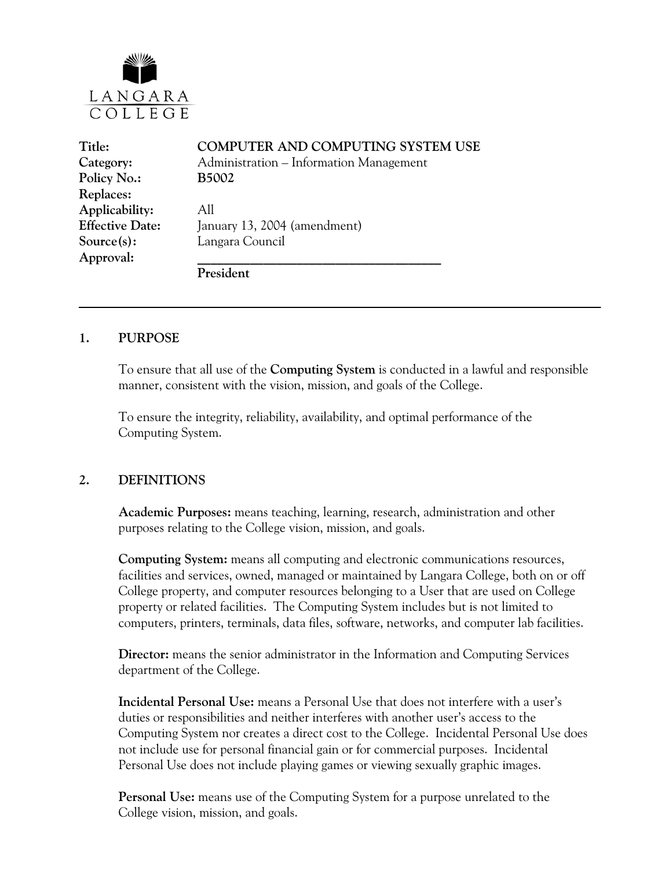

| Title:                 | COMPUTER AND COMPUTING SYSTEM USE       |
|------------------------|-----------------------------------------|
| Category:              | Administration – Information Management |
| Policy No.:            | <b>B5002</b>                            |
| Replaces:              |                                         |
| Applicability:         | All                                     |
| <b>Effective Date:</b> | January 13, 2004 (amendment)            |
| Source(s):             | Langara Council                         |
| Approval:              |                                         |
|                        | President                               |

#### **1. PURPOSE**

To ensure that all use of the **Computing System** is conducted in a lawful and responsible manner, consistent with the vision, mission, and goals of the College.

To ensure the integrity, reliability, availability, and optimal performance of the Computing System.

#### **2. DEFINITIONS**

**Academic Purposes:** means teaching, learning, research, administration and other purposes relating to the College vision, mission, and goals.

**Computing System:** means all computing and electronic communications resources, facilities and services, owned, managed or maintained by Langara College, both on or off College property, and computer resources belonging to a User that are used on College property or related facilities. The Computing System includes but is not limited to computers, printers, terminals, data files, software, networks, and computer lab facilities.

**Director:** means the senior administrator in the Information and Computing Services department of the College.

**Incidental Personal Use:** means a Personal Use that does not interfere with a user's duties or responsibilities and neither interferes with another user's access to the Computing System nor creates a direct cost to the College. Incidental Personal Use does not include use for personal financial gain or for commercial purposes. Incidental Personal Use does not include playing games or viewing sexually graphic images.

**Personal Use:** means use of the Computing System for a purpose unrelated to the College vision, mission, and goals.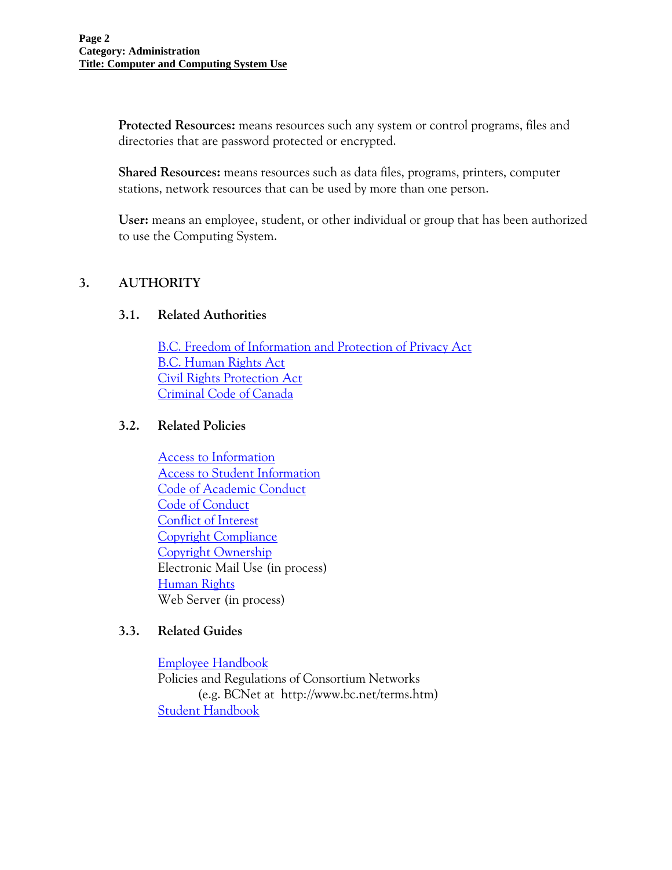**Protected Resources:** means resources such any system or control programs, files and directories that are password protected or encrypted.

**Shared Resources:** means resources such as data files, programs, printers, computer stations, network resources that can be used by more than one person.

**User:** means an employee, student, or other individual or group that has been authorized to use the Computing System.

# **3. AUTHORITY**

### **3.1. Related Authorities**

[B.C. Freedom of Information and Protection of Privacy Act](http://www.qp.gov.bc.ca/statreg/stat/F/96165_01.htm) [B.C. Human Rights Act](http://www.qp.gov.bc.ca/statreg/stat/H/96210_01.htm) [Civil Rights Protection Act](http://www.qp.gov.bc.ca/statreg/stat/C/96049_01.htm) [Criminal Code of Canada](http://laws.justice.gc.ca/en/C-46/)

### **3.2. Related Policies**

[Access to Information](http://www.langara.bc.ca/policies/B5001.pdf) [Access to Student Information](http://www.langara.bc.ca/policies/E2001.pdf) [Code of Academic Conduct](http://www.langara.bc.ca/policies/B3001.pdf) [Code of Conduct](http://www.langara.bc.ca/policies/B3002.pdf) [Conflict of Interest](http://www.langara.bc.ca/policies/B3003.pdf)  [Copyright Compliance](http://www.langara.bc.ca/policies/B5003.pdf)  [Copyright Ownership](http://www.langara.bc.ca/policies/B5004.pdf) Electronic Mail Use (in process) [Human Rights](http://www.langara.bc.ca/policies/B3008.pdf) Web Server (in process)

### **3.3. Related Guides**

[Employee Handbook](http://www.langara.bc.ca/intranet/employee-handbook.pdf) Policies and Regulations of Consortium Networks (e.g. BCNet at http://www.bc.net/terms.htm) [Student Handbook](http://www.langara.bc.ca/connections/)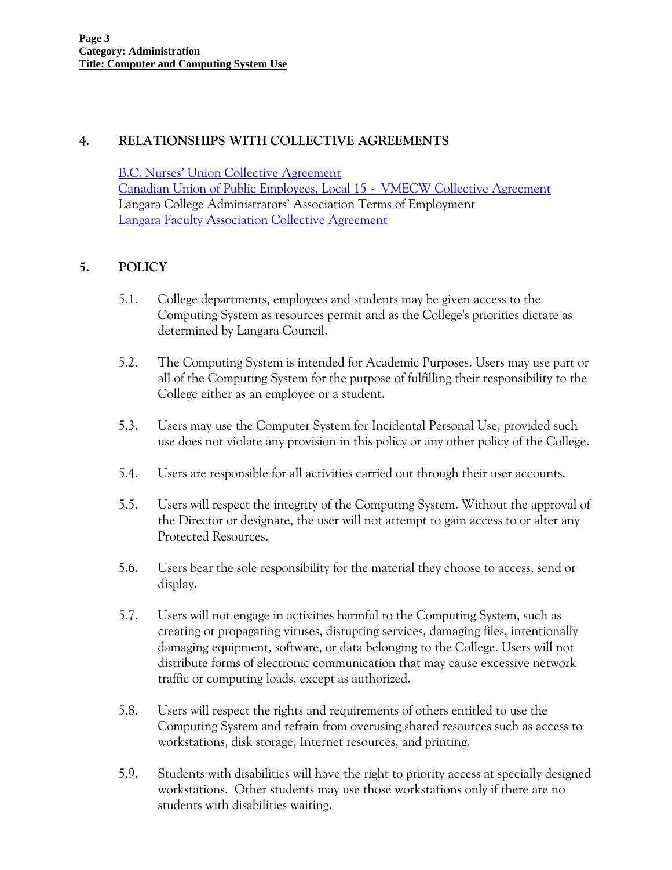## **4. RELATIONSHIPS WITH COLLECTIVE AGREEMENTS**

[B.C. Nurses' Union Collective Agreement](http://www.langara.bc.ca/hr/nurses.html)  [Canadian Union of Public Employees, Local 15 - VMECW Collective Agreement](http://www.langara.bc.ca/hr/01-CA-CUPE-final-1.pdf) Langara College Administrators' Association Terms of Employment [Langara Faculty Association Collective Agreement](http://www.langara.bc.ca/hr/LFA.pdf)

### **5. POLICY**

- 5.1. College departments, employees and students may be given access to the Computing System as resources permit and as the College's priorities dictate as determined by Langara Council.
- 5.2. The Computing System is intended for Academic Purposes. Users may use part or all of the Computing System for the purpose of fulfilling their responsibility to the College either as an employee or a student.
- 5.3. Users may use the Computer System for Incidental Personal Use, provided such use does not violate any provision in this policy or any other policy of the College.
- 5.4. Users are responsible for all activities carried out through their user accounts.
- 5.5. Users will respect the integrity of the Computing System. Without the approval of the Director or designate, the user will not attempt to gain access to or alter any Protected Resources.
- 5.6. Users bear the sole responsibility for the material they choose to access, send or display.
- 5.7. Users will not engage in activities harmful to the Computing System, such as creating or propagating viruses, disrupting services, damaging files, intentionally damaging equipment, software, or data belonging to the College. Users will not distribute forms of electronic communication that may cause excessive network traffic or computing loads, except as authorized.
- 5.8. Users will respect the rights and requirements of others entitled to use the Computing System and refrain from overusing shared resources such as access to workstations, disk storage, Internet resources, and printing.
- 5.9. Students with disabilities will have the right to priority access at specially designed workstations. Other students may use those workstations only if there are no students with disabilities waiting.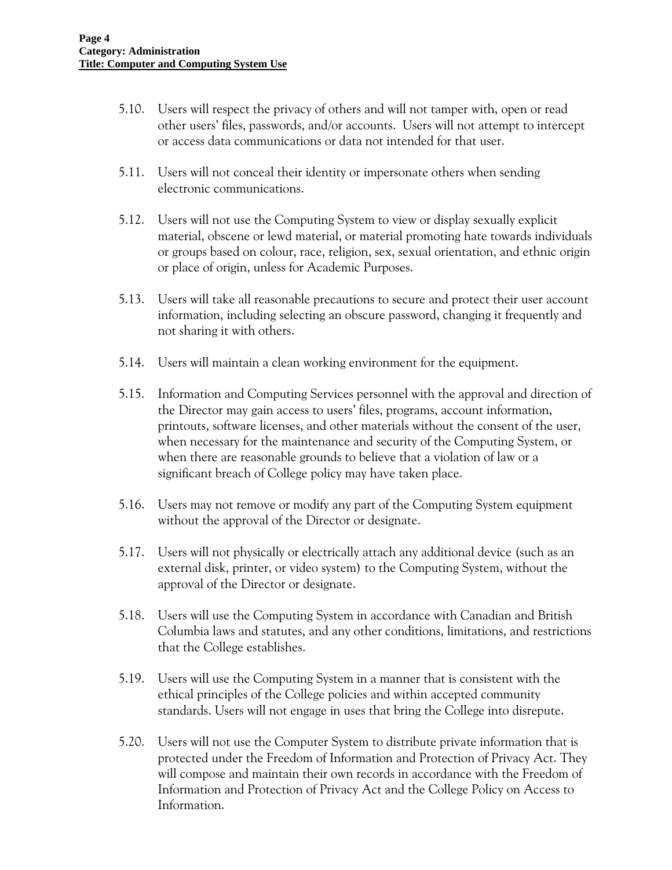- 5.10. Users will respect the privacy of others and will not tamper with, open or read other users' files, passwords, and/or accounts. Users will not attempt to intercept or access data communications or data not intended for that user.
- 5.11. Users will not conceal their identity or impersonate others when sending electronic communications.
- 5.12. Users will not use the Computing System to view or display sexually explicit material, obscene or lewd material, or material promoting hate towards individuals or groups based on colour, race, religion, sex, sexual orientation, and ethnic origin or place of origin, unless for Academic Purposes.
- 5.13. Users will take all reasonable precautions to secure and protect their user account information, including selecting an obscure password, changing it frequently and not sharing it with others.
- 5.14. Users will maintain a clean working environment for the equipment.
- 5.15. Information and Computing Services personnel with the approval and direction of the Director may gain access to users' files, programs, account information, printouts, software licenses, and other materials without the consent of the user, when necessary for the maintenance and security of the Computing System, or when there are reasonable grounds to believe that a violation of law or a significant breach of College policy may have taken place.
- 5.16. Users may not remove or modify any part of the Computing System equipment without the approval of the Director or designate.
- 5.17. Users will not physically or electrically attach any additional device (such as an external disk, printer, or video system) to the Computing System, without the approval of the Director or designate.
- 5.18. Users will use the Computing System in accordance with Canadian and British Columbia laws and statutes, and any other conditions, limitations, and restrictions that the College establishes.
- 5.19. Users will use the Computing System in a manner that is consistent with the ethical principles of the College policies and within accepted community standards. Users will not engage in uses that bring the College into disrepute.
- 5.20. Users will not use the Computer System to distribute private information that is protected under the Freedom of Information and Protection of Privacy Act. They will compose and maintain their own records in accordance with the Freedom of Information and Protection of Privacy Act and the College Policy on Access to Information.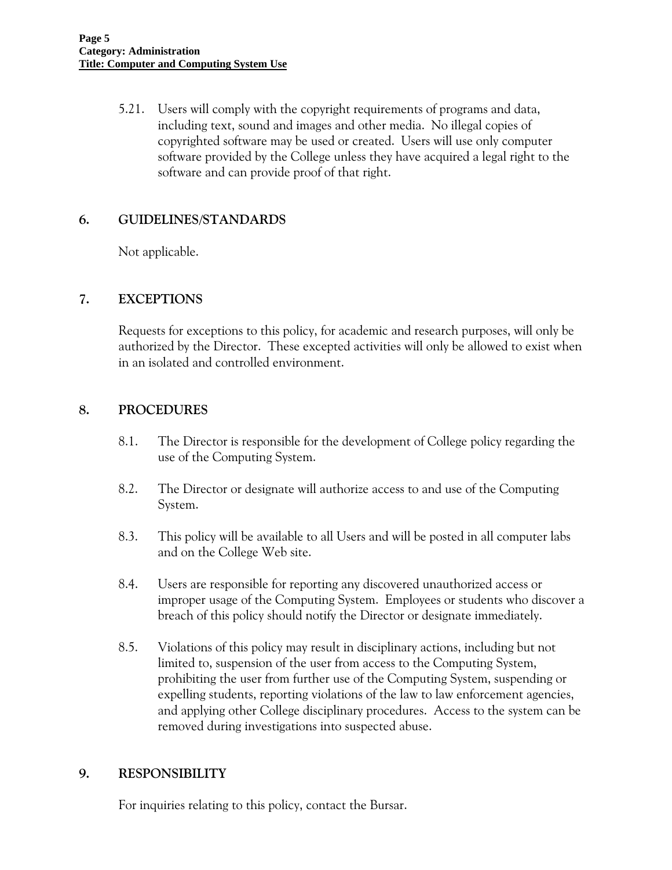5.21. Users will comply with the copyright requirements of programs and data, including text, sound and images and other media. No illegal copies of copyrighted software may be used or created. Users will use only computer software provided by the College unless they have acquired a legal right to the software and can provide proof of that right.

### **6. GUIDELINES/STANDARDS**

Not applicable.

### **7. EXCEPTIONS**

Requests for exceptions to this policy, for academic and research purposes, will only be authorized by the Director. These excepted activities will only be allowed to exist when in an isolated and controlled environment.

### **8. PROCEDURES**

- 8.1. The Director is responsible for the development of College policy regarding the use of the Computing System.
- 8.2. The Director or designate will authorize access to and use of the Computing System.
- 8.3. This policy will be available to all Users and will be posted in all computer labs and on the College Web site.
- 8.4. Users are responsible for reporting any discovered unauthorized access or improper usage of the Computing System. Employees or students who discover a breach of this policy should notify the Director or designate immediately.
- 8.5. Violations of this policy may result in disciplinary actions, including but not limited to, suspension of the user from access to the Computing System, prohibiting the user from further use of the Computing System, suspending or expelling students, reporting violations of the law to law enforcement agencies, and applying other College disciplinary procedures. Access to the system can be removed during investigations into suspected abuse.

### **9. RESPONSIBILITY**

For inquiries relating to this policy, contact the Bursar.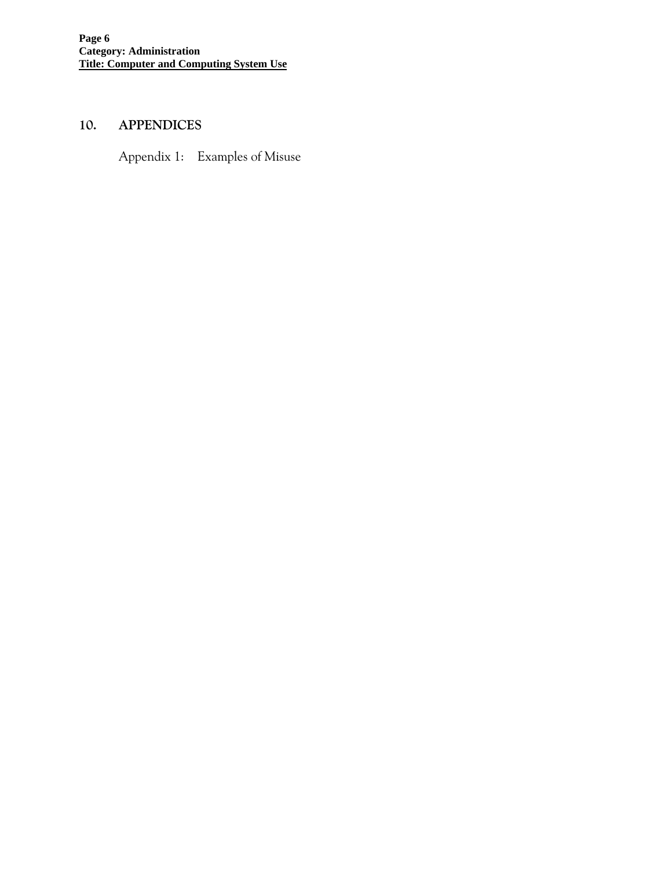# **10. APPENDICES**

Appendix 1: Examples of Misuse